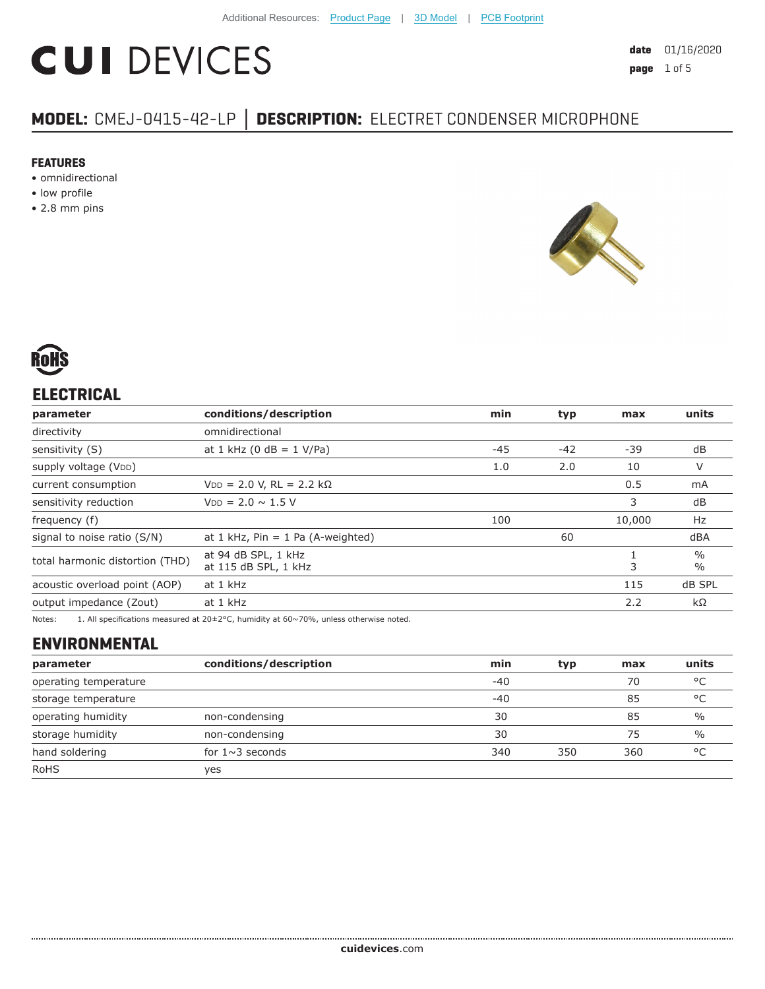# **CUI DEVICES**

# **MODEL:** CMEJ-0415-42-LP **│ DESCRIPTION:** ELECTRET CONDENSER MICROPHONE

#### **FEATURES**

- omnidirectional
- low profile
- 2.8 mm pins





## **ELECTRICAL**

| parameter                       | conditions/description                           | min   | typ    | max                            | units     |
|---------------------------------|--------------------------------------------------|-------|--------|--------------------------------|-----------|
| directivity                     | omnidirectional                                  |       |        |                                |           |
| sensitivity (S)                 | at 1 kHz (0 dB = $1$ V/Pa)                       | $-45$ | $-42$  | -39                            | dB        |
| supply voltage (VDD)            |                                                  | 1.0   | 2.0    | 10                             | V         |
| current consumption             | $VDD = 2.0 V, RL = 2.2 k\Omega$                  |       |        | 0.5                            | mA        |
| sensitivity reduction           | $V_{DD} = 2.0 \sim 1.5 V$                        |       | 3      | dB                             |           |
| frequency (f)                   | 100                                              |       | 10,000 | Hz                             |           |
| signal to noise ratio (S/N)     | at 1 kHz, $Pin = 1$ Pa (A-weighted)              | 60    |        | dBA                            |           |
| total harmonic distortion (THD) | at 94 dB SPL, 1 kHz<br>3<br>at 115 dB SPL, 1 kHz |       |        | $\frac{0}{0}$<br>$\frac{0}{0}$ |           |
| acoustic overload point (AOP)   | at 1 kHz                                         | 115   |        | dB SPL                         |           |
| output impedance (Zout)         | at 1 kHz                                         |       |        | 2.2                            | $k\Omega$ |
|                                 |                                                  |       |        |                                |           |

Notes: 1. All specifications measured at 20±2°C, humidity at 60~70%, unless otherwise noted.

# **ENVIRONMENTAL**

| parameter             | conditions/description | min   | typ | max | units         |
|-----------------------|------------------------|-------|-----|-----|---------------|
| operating temperature |                        | $-40$ |     | 70  | °C            |
| storage temperature   |                        | $-40$ |     | 85  | °C            |
| operating humidity    | non-condensing         | 30    |     | 85  | $\frac{0}{0}$ |
| storage humidity      | non-condensing         | 30    |     | 75  | $\frac{0}{0}$ |
| hand soldering        | for $1 \sim 3$ seconds | 340   | 350 | 360 | °C            |
| <b>RoHS</b>           | ves                    |       |     |     |               |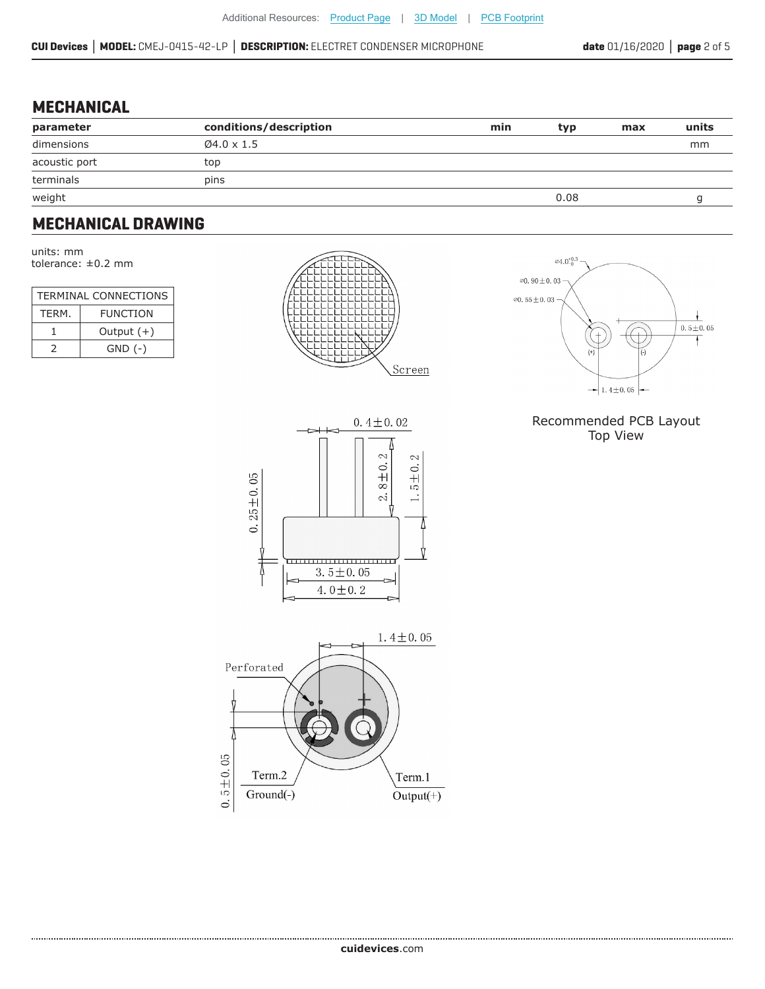0.25 $\pm$ 0.05

#### **MECHANICAL**

| parameter     | conditions/description  | min | typ  | max | units |
|---------------|-------------------------|-----|------|-----|-------|
| dimensions    | $\varnothing$ 4.0 x 1.5 |     |      |     | mm    |
| acoustic port | top                     |     |      |     |       |
| terminals     | pins                    |     |      |     |       |
| weight        |                         |     | 0.08 |     |       |

### **MECHANICAL DRAWING**

units: mm tolerance: ±0.2 mm

| <b>TERMINAL CONNECTIONS</b> |                 |  |  |
|-----------------------------|-----------------|--|--|
| TFRM.                       | <b>FUNCTION</b> |  |  |
|                             | Output $(+)$    |  |  |
| $\mathcal{L}$               | $GND$ $(-)$     |  |  |





#### Recommended PCB Layout Top View



,,,,,,,,,,,,,,,,,,,,,,,  $3.5 \pm 0.05$ 4.0 $\pm$ 0.2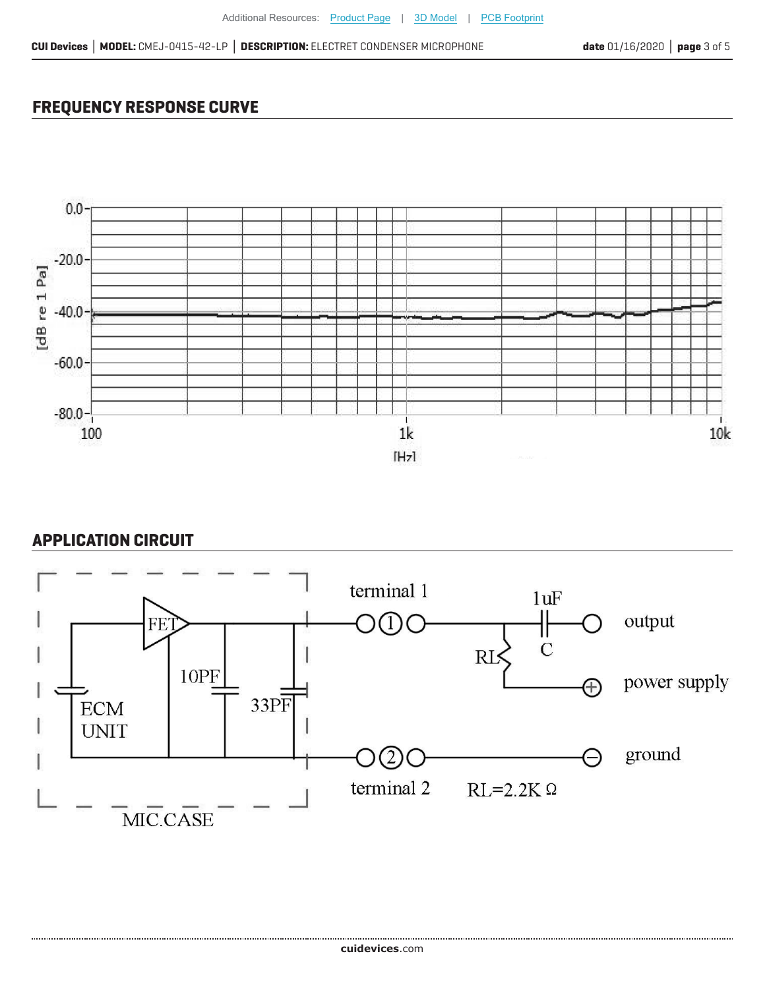# **FREQUENCY RESPONSE CURVE**



## **APPLICATION CIRCUIT**

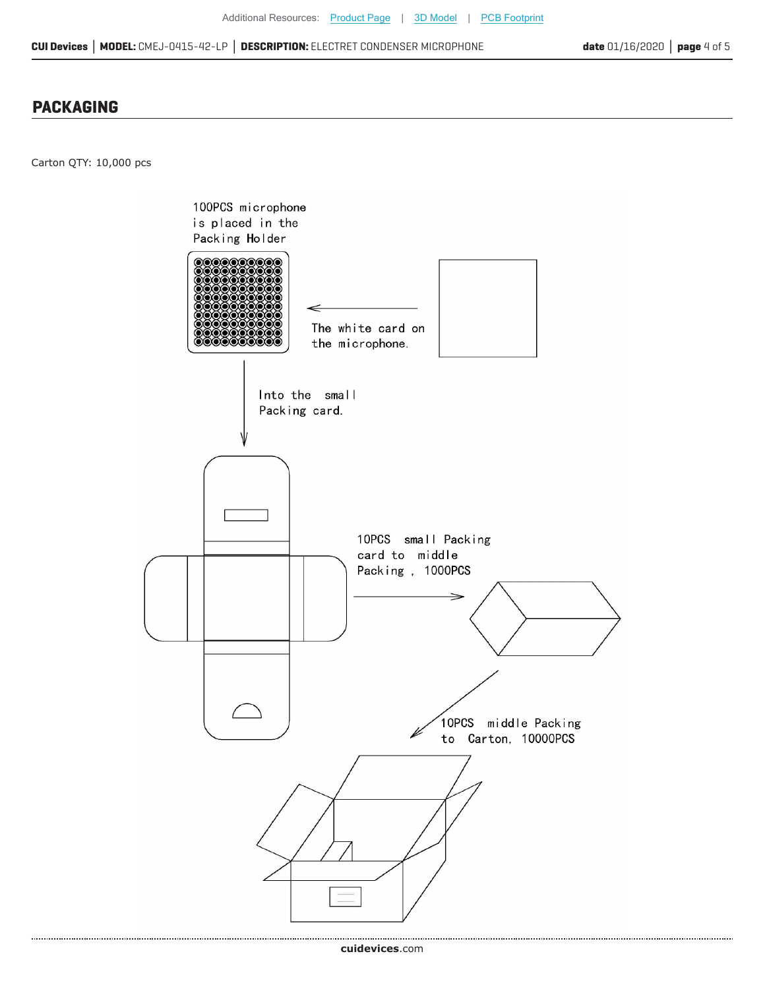**CUI Devices │ MODEL:** CMEJ-0415-42-LP **│ DESCRIPTION:** ELECTRET CONDENSER MICROPHONE

#### **PACKAGING**

Carton QTY: 10,000 pcs